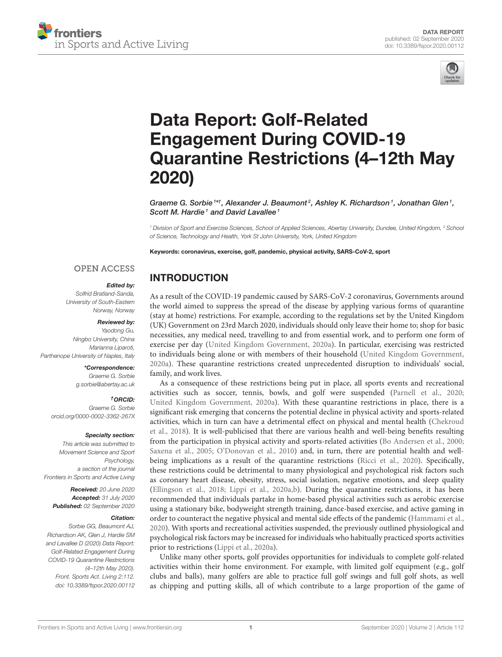



# Data Report: Golf-Related Engagement During COVID-19 [Quarantine Restrictions \(4–12th May](https://www.frontiersin.org/articles/10.3389/fspor.2020.00112/full) 2020)

Graeme G. Sorbie  $i$ \*†, Alexander J. Beaumont<sup>2</sup>, Ashley K. Richardson <sup>1</sup>, Jonathan Glen <sup>1</sup>, Scott M. Hardie<sup>1</sup> and David Lavallee<sup>1</sup>

*<sup>1</sup> Division of Sport and Exercise Sciences, School of Applied Sciences, Abertay University, Dundee, United Kingdom, <sup>2</sup> School of Science, Technology and Health, York St John University, York, United Kingdom*

Keywords: coronavirus, exercise, golf, pandemic, physical activity, SARS-CoV-2, sport

### **OPEN ACCESS**

#### Edited by:

INTRODUCTION

*Solfrid Bratland-Sanda, University of South-Eastern Norway, Norway*

#### Reviewed by:

*Yaodong Gu, Ningbo University, China Marianna Liparoti, Parthenope University of Naples, Italy*

#### \*Correspondence:

*Graeme G. Sorbie [g.sorbie@abertay.ac.uk](mailto:g.sorbie@abertay.ac.uk)*

#### †ORCID:

*Graeme G. Sorbie [orcid.org/0000-0002-3362-267X](http://orcid.org/0000-0002-3362-267X)*

#### Specialty section:

*This article was submitted to Movement Science and Sport Psychology, a section of the journal Frontiers in Sports and Active Living*

Received: *20 June 2020* Accepted: *31 July 2020* Published: *02 September 2020*

#### Citation:

*Sorbie GG, Beaumont AJ, Richardson AK, Glen J, Hardie SM and Lavallee D (2020) Data Report: Golf-Related Engagement During COVID-19 Quarantine Restrictions (4–12th May 2020). Front. Sports Act. Living 2:112. doi: [10.3389/fspor.2020.00112](https://doi.org/10.3389/fspor.2020.00112)*

As a result of the COVID-19 pandemic caused by SARS-CoV-2 coronavirus, Governments around the world aimed to suppress the spread of the disease by applying various forms of quarantine (stay at home) restrictions. For example, according to the regulations set by the United Kingdom (UK) Government on 23rd March 2020, individuals should only leave their home to; shop for basic necessities, any medical need, travelling to and from essential work, and to perform one form of exercise per day [\(United Kingdom Government, 2020a\)](#page-5-0). In particular, exercising was restricted to individuals being alone or with members of their household [\(United Kingdom Government,](#page-5-0) [2020a\)](#page-5-0). These quarantine restrictions created unprecedented disruption to individuals' social, family, and work lives.

As a consequence of these restrictions being put in place, all sports events and recreational activities such as soccer, tennis, bowls, and golf were suspended [\(Parnell et al., 2020;](#page-5-1) [United Kingdom Government, 2020a\)](#page-5-0). With these quarantine restrictions in place, there is a significant risk emerging that concerns the potential decline in physical activity and sports-related activities, which in turn can have a detrimental effect on physical and mental health (Chekroud et al., [2018\)](#page-5-2). It is well-publicised that there are various health and well-being benefits resulting from the participation in physical activity and sports-related activities [\(Bo Andersen et al., 2000;](#page-5-3) [Saxena et al., 2005;](#page-5-4) [O'Donovan et al., 2010\)](#page-5-5) and, in turn, there are potential health and wellbeing implications as a result of the quarantine restrictions [\(Ricci et al., 2020\)](#page-5-6). Specifically, these restrictions could be detrimental to many physiological and psychological risk factors such as coronary heart disease, obesity, stress, social isolation, negative emotions, and sleep quality [\(Ellingson et al., 2018;](#page-5-7) [Lippi et al., 2020a,](#page-5-8)[b\)](#page-5-9). During the quarantine restrictions, it has been recommended that individuals partake in home-based physical activities such as aerobic exercise using a stationary bike, bodyweight strength training, dance-based exercise, and active gaming in order to counteract the negative physical and mental side effects of the pandemic [\(Hammami et al.,](#page-5-10) [2020\)](#page-5-10). With sports and recreational activities suspended, the previously outlined physiological and psychological risk factors may be increased for individuals who habitually practiced sports activities prior to restrictions [\(Lippi et al., 2020a\)](#page-5-8).

Unlike many other sports, golf provides opportunities for individuals to complete golf-related activities within their home environment. For example, with limited golf equipment (e.g., golf clubs and balls), many golfers are able to practice full golf swings and full golf shots, as well as chipping and putting skills, all of which contribute to a large proportion of the game of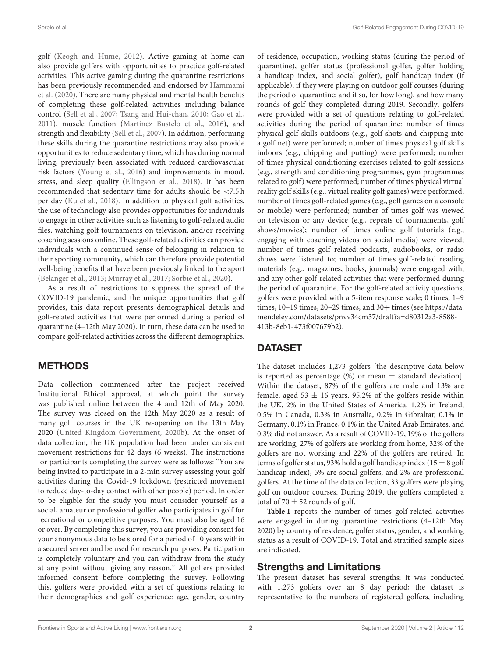golf [\(Keogh and Hume, 2012\)](#page-5-11). Active gaming at home can also provide golfers with opportunities to practice golf-related activities. This active gaming during the quarantine restrictions has been previously recommended and endorsed by Hammami et al. [\(2020\)](#page-5-10). There are many physical and mental health benefits of completing these golf-related activities including balance control [\(Sell et al., 2007;](#page-5-12) [Tsang and Hui-chan, 2010;](#page-5-13) [Gao et al.,](#page-5-14) [2011\)](#page-5-14), muscle function [\(Martinez Bustelo et al., 2016\)](#page-5-15), and strength and flexibility [\(Sell et al., 2007\)](#page-5-12). In addition, performing these skills during the quarantine restrictions may also provide opportunities to reduce sedentary time, which has during normal living, previously been associated with reduced cardiovascular risk factors [\(Young et al., 2016\)](#page-5-16) and improvements in mood, stress, and sleep quality [\(Ellingson et al., 2018\)](#page-5-7). It has been recommended that sedentary time for adults should be <7.5 h per day [\(Ku et al., 2018\)](#page-5-17). In addition to physical golf activities, the use of technology also provides opportunities for individuals to engage in other activities such as listening to golf-related audio files, watching golf tournaments on television, and/or receiving coaching sessions online. These golf-related activities can provide individuals with a continued sense of belonging in relation to their sporting community, which can therefore provide potential well-being benefits that have been previously linked to the sport [\(Belanger et al., 2013;](#page-5-18) [Murray et al., 2017;](#page-5-19) [Sorbie et al., 2020\)](#page-5-20).

As a result of restrictions to suppress the spread of the COVID-19 pandemic, and the unique opportunities that golf provides, this data report presents demographical details and golf-related activities that were performed during a period of quarantine (4–12th May 2020). In turn, these data can be used to compare golf-related activities across the different demographics.

### METHODS

Data collection commenced after the project received Institutional Ethical approval, at which point the survey was published online between the 4 and 12th of May 2020. The survey was closed on the 12th May 2020 as a result of many golf courses in the UK re-opening on the 13th May 2020 [\(United Kingdom Government, 2020b\)](#page-5-21). At the onset of data collection, the UK population had been under consistent movement restrictions for 42 days (6 weeks). The instructions for participants completing the survey were as follows: "You are being invited to participate in a 2-min survey assessing your golf activities during the Covid-19 lockdown (restricted movement to reduce day-to-day contact with other people) period. In order to be eligible for the study you must consider yourself as a social, amateur or professional golfer who participates in golf for recreational or competitive purposes. You must also be aged 16 or over. By completing this survey, you are providing consent for your anonymous data to be stored for a period of 10 years within a secured server and be used for research purposes. Participation is completely voluntary and you can withdraw from the study at any point without giving any reason." All golfers provided informed consent before completing the survey. Following this, golfers were provided with a set of questions relating to their demographics and golf experience: age, gender, country of residence, occupation, working status (during the period of quarantine), golfer status (professional golfer, golfer holding a handicap index, and social golfer), golf handicap index (if applicable), if they were playing on outdoor golf courses (during the period of quarantine; and if so, for how long), and how many rounds of golf they completed during 2019. Secondly, golfers were provided with a set of questions relating to golf-related activities during the period of quarantine: number of times physical golf skills outdoors (e.g., golf shots and chipping into a golf net) were performed; number of times physical golf skills indoors (e.g., chipping and putting) were performed; number of times physical conditioning exercises related to golf sessions (e.g., strength and conditioning programmes, gym programmes related to golf) were performed; number of times physical virtual reality golf skills (e.g., virtual reality golf games) were performed; number of times golf-related games (e.g., golf games on a console or mobile) were performed; number of times golf was viewed on television or any device (e.g., repeats of tournaments, golf shows/movies); number of times online golf tutorials (e.g., engaging with coaching videos on social media) were viewed; number of times golf related podcasts, audiobooks, or radio shows were listened to; number of times golf-related reading materials (e.g., magazines, books, journals) were engaged with; and any other golf-related activities that were performed during the period of quarantine. For the golf-related activity questions, golfers were provided with a 5-item response scale; 0 times, 1–9 times, 10-19 times, 20-29 times, and 30+ times (see [https://data.](https://data.mendeley.com/datasets/pnvv34cm37/draft?a=d80312a3-8588-413b-8eb1-473f007679b2) [mendeley.com/datasets/pnvv34cm37/draft?a=d80312a3-8588-](https://data.mendeley.com/datasets/pnvv34cm37/draft?a=d80312a3-8588-413b-8eb1-473f007679b2) [413b-8eb1-473f007679b2\)](https://data.mendeley.com/datasets/pnvv34cm37/draft?a=d80312a3-8588-413b-8eb1-473f007679b2).

# DATASET

The dataset includes 1,273 golfers [the descriptive data below is reported as percentage  $(\%)$  or mean  $\pm$  standard deviation]. Within the dataset, 87% of the golfers are male and 13% are female, aged 53  $\pm$  16 years. 95.2% of the golfers reside within the UK, 2% in the United States of America, 1.2% in Ireland, 0.5% in Canada, 0.3% in Australia, 0.2% in Gibraltar, 0.1% in Germany, 0.1% in France, 0.1% in the United Arab Emirates, and 0.3% did not answer. As a result of COVID-19, 19% of the golfers are working, 27% of golfers are working from home, 32% of the golfers are not working and 22% of the golfers are retired. In terms of golfer status, 93% hold a golf handicap index (15  $\pm$  8 golf handicap index), 5% are social golfers, and 2% are professional golfers. At the time of the data collection, 33 golfers were playing golf on outdoor courses. During 2019, the golfers completed a total of 70  $\pm$  52 rounds of golf.

**[Table 1](#page-2-0)** reports the number of times golf-related activities were engaged in during quarantine restrictions (4–12th May 2020) by country of residence, golfer status, gender, and working status as a result of COVID-19. Total and stratified sample sizes are indicated.

### Strengths and Limitations

The present dataset has several strengths: it was conducted with 1,273 golfers over an 8 day period; the dataset is representative to the numbers of registered golfers, including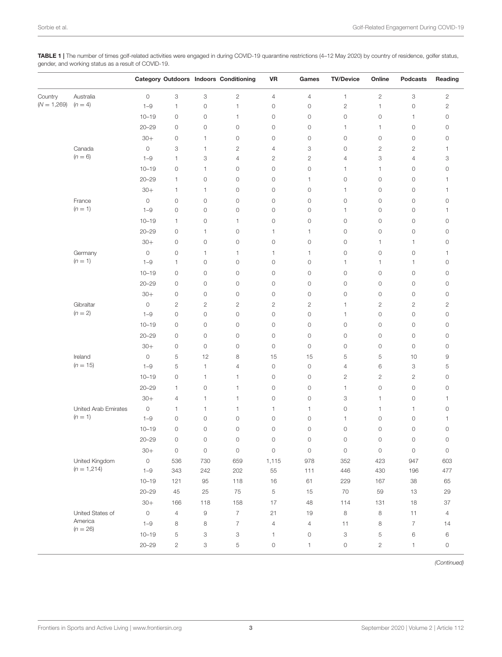<span id="page-2-0"></span>TABLE 1 | The number of times golf-related activities were engaged in during COVID-19 quarantine restrictions (4-12 May 2020) by country of residence, golfer status, gender, and working status as a result of COVID-19.

|               |                       |                     |                     |                     | <b>Category Outdoors Indoors Conditioning</b> | <b>VR</b>           | Games               | <b>TV/Device</b>          | Online         | <b>Podcasts</b> | Reading             |
|---------------|-----------------------|---------------------|---------------------|---------------------|-----------------------------------------------|---------------------|---------------------|---------------------------|----------------|-----------------|---------------------|
| Country       | Australia             | $\circ$             | 3                   | 3                   | $\mathbf{2}$                                  | $\overline{4}$      | $\overline{4}$      | 1                         | 2              | 3               | $\mathbf{2}$        |
| $(N = 1,269)$ | $(n = 4)$             | $1 - 9$             | 1                   | $\mathsf{O}\xspace$ | $\mathbf{1}$                                  | $\mathsf{O}\xspace$ | $\circ$             | $\overline{c}$            | $\mathbf{1}$   | $\mathbb O$     | $\sqrt{2}$          |
|               |                       | $10 - 19$           | $\circ$             | 0                   | 1                                             | 0                   | $\circ$             | 0                         | 0              | 1               | $\circ$             |
|               |                       | $20 - 29$           | $\circ$             | $\circ$             | $\circ$                                       | $\circ$             | $\circ$             | 1                         | 1              | $\mathbb O$     | $\circ$             |
|               |                       | $30+$               | 0                   | 1                   | $\circ$                                       | 0                   | $\circ$             | $\circ$                   | $\circ$        | 0               | 0                   |
|               | Canada                | $\circ$             | 3                   | 1                   | $\mathbf{2}$                                  | 4                   | 3                   | $\circ$                   | 2              | $\mathbf{2}$    | 1                   |
|               | $(n = 6)$             | $1 - 9$             | 1                   | 3                   | $\overline{4}$                                | $\mathbf{2}$        | $\mathbf{2}$        | 4                         | 3              | 4               | 3                   |
|               |                       | $10 - 19$           | $\circ$             | $\mathbf{1}$        | $\circ$                                       | $\circ$             | $\circ$             | 1                         | 1              | $\circ$         | $\circ$             |
|               |                       | $20 - 29$           | $\mathbf{1}$        | $\mathsf{O}\xspace$ | $\mathbb O$                                   | $\circ$             | 1                   | $\mathbb O$               | $\circ$        | $\mathbb O$     | $\mathbf{1}$        |
|               |                       | $30+$               | $\mathbf{1}$        | 1                   | $\mathbb O$                                   | $\circ$             | $\circ$             | 1                         | 0              | 0               | $\mathbf{1}$        |
|               | France                | $\circ$             | $\circ$             | $\mathsf{O}\xspace$ | $\mathbb O$                                   | $\circ$             | $\circ$             | $\mathbb O$               | $\mathsf O$    | $\mathbb O$     | $\mathbb O$         |
|               | $(n = 1)$             | $1 - 9$             | $\circ$             | $\circ$             | $\circ$                                       | $\circ$             | $\circ$             | 1                         | 0              | 0               | $\mathbf{1}$        |
|               |                       | $10 - 19$           | 1                   | $\mathsf{O}\xspace$ | 1                                             | $\circ$             | $\circ$             | $\mathbb O$               | 0              | $\mathbb O$     | $\mathbb O$         |
|               |                       | $20 - 29$           | $\circ$             | $\mathbf{1}$        | $\mathbb O$                                   | 1                   | 1                   | $\mathsf{O}\xspace$       | 0              | $\mathbb O$     | $\mathbb O$         |
|               |                       | $30+$               | 0                   | $\mathsf{O}\xspace$ | $\circ$                                       | $\circ$             | $\circ$             | $\circ$                   | 1              | 1               | 0                   |
|               | Germany               | $\circ$             | $\circ$             | $\mathbf{1}$        | 1                                             | 1                   | 1                   | 0                         | 0              | $\mathbb O$     | 1                   |
|               | $(n = 1)$             | $1 - 9$             | 1                   | 0                   | $\circ$                                       | $\circ$             | $\mathsf{O}\xspace$ | 1                         | 1              | 1               | $\mathbb O$         |
|               |                       | $10 - 19$           | $\circ$             | $\circ$             | $\mathbb O$                                   | $\circ$             | $\mathsf{O}\xspace$ | $\circ$                   | $\circ$        | $\mathbb O$     | $\mathbb O$         |
|               |                       | $20 - 29$           | 0                   | 0                   | $\mathbb O$                                   | 0                   | $\mathsf{O}\xspace$ | 0                         | 0              | 0               | 0                   |
|               |                       | $30+$               | $\mathbb O$         | $\mathsf{O}\xspace$ | $\mathbb O$                                   | $\circ$             | $\circ$             | $\circ$                   | 0              | $\mathbb O$     | $\mathbb O$         |
|               | Gibraltar             | $\circ$             | $\mathbf{2}$        | $\mathbf{2}$        | $\mathbf{2}$                                  | $\mathbf{2}$        | $\mathbf{2}$        | 1                         | 2              | 2               | $\mathbf{2}$        |
|               | $(n = 2)$             | $1 - 9$             | $\circ$             | $\circ$             | $\mathsf{O}\xspace$                           | $\circ$             | $\circ$             | 1                         | 0              | $\circ$         | $\circ$             |
|               |                       | $10 - 19$           | $\mathsf{O}\xspace$ | $\mathsf{O}\xspace$ | $\mathbb O$                                   | $\circ$             | $\circ$             | $\circ$                   | 0              | $\mathbb O$     | $\mathbb O$         |
|               |                       | $20 - 29$           | $\circ$             | 0                   | $\mathbb O$                                   | $\circ$             | $\circ$             | $\circ$                   | $\circ$        | $\circ$         | $\mathbb O$         |
|               |                       | $30+$               | $\circ$             | $\circ$             | $\mathbb O$                                   | $\circ$             | $\circ$             | $\mathbb O$               | $\circ$        | $\mathbb O$     | $\mathbb O$         |
|               | Ireland               | $\mathbb O$         | 5                   | 12                  | 8                                             | 15                  | 15                  | 5                         | 5              | 10              | $\hbox{9}$          |
|               | $(n = 15)$            | $1 - 9$             | 5                   | $\mathbf{1}$        | $\overline{4}$                                | $\circ$             | $\mathsf{O}\xspace$ | 4                         | 6              | 3               | 5                   |
|               |                       | $10 - 19$           | 0                   | 1                   | 1                                             | $\circ$             | $\circ$             | $\overline{c}$            | $\overline{c}$ | $\mathbf{2}$    | $\mathbb O$         |
|               |                       | $20 - 29$           | 1                   | $\mathsf{O}\xspace$ | 1                                             | $\circ$             | $\circ$             | 1                         | 0              | $\mathbb O$     | $\mathbb O$         |
|               |                       | $30+$               | 4                   | $\mathbf{1}$        | 1                                             | $\mathsf{O}\xspace$ | $\circ$             | 3                         | 1              | $\mathbb O$     | 1                   |
|               | United Arab Emirates  | $\circ$             | 1                   | 1                   | 1                                             | 1                   | 1                   | $\mathsf{O}\xspace$       | 1              | 1               | 0                   |
|               | $(n = 1)$             | $1 - 9$             | $\mathsf{O}\xspace$ | $\mathsf{O}\xspace$ | $\mathbb O$                                   | $\mathsf{O}\xspace$ | $\circ$             | 1                         | 0              | $\mathbb O$     | $\mathbf{1}$        |
|               |                       | $10 - 19$           | $\circ$             | $\mathsf{O}\xspace$ | $\circ$                                       | $\mathsf{O}\xspace$ | $\circ$             | $\circ$                   | 0              | $\mathbb O$     | 0                   |
|               |                       | $20 - 29$           | $\circ$             | $\circ$             | $\circ$                                       | $\circ$             | $\circ$             | $\circ$                   | 0              | $\circ$         | $\mathbb O$         |
|               |                       | $30+$               | 0                   | 0                   | 0                                             | 0                   | 0                   | 0                         | 0              | 0               | 0                   |
|               | United Kingdom        | $\mathsf{O}\xspace$ | 536                 | 730                 | 659                                           | 1,115               | 978                 | 352                       | 423            | 947             | 603                 |
|               | $(n = 1,214)$         | $1 - 9$             | 343                 | 242                 | 202                                           | 55                  | 111                 | 446                       | 430            | 196             | 477                 |
|               |                       | $10 - 19$           | 121                 | 95                  | 118                                           | 16                  | 61                  | 229                       | 167            | $38\,$          | 65                  |
|               |                       | $20 - 29$           | $45\,$              | $25\,$              | 75                                            | $\,$ 5 $\,$         | $15$                | $70$                      | 59             | $13$            | 29                  |
|               |                       | $30+$               | 166                 | 118                 | 158                                           | 17                  | 48                  | 114                       | 131            | 18              | $37\,$              |
|               | United States of      | $\mathbb O$         | $\overline{4}$      | $\hbox{9}$          | $\overline{7}$                                | 21                  | $19$                | $\,8\,$                   | $\,8\,$        | 11              | $\overline{4}$      |
|               | America<br>$(n = 26)$ | $1 - 9$             | 8                   | 8                   | $\overline{7}$                                | $\sqrt{4}$          | $\overline{4}$      | 11                        | 8              | $\overline{7}$  | 14                  |
|               |                       | $10 - 19$           | $\,$ 5 $\,$         | 3                   | 3                                             | $\mathbf{1}$        | $\mathsf O$         | $\ensuremath{\mathsf{3}}$ | 5              | 6               | 6                   |
|               |                       | $20 - 29$           | $\mathbf{2}$        | 3                   | 5                                             | $\circ$             | $\mathbf{1}$        | $\mathsf{O}\xspace$       | $\overline{c}$ | $\mathbf{1}$    | $\mathsf{O}\xspace$ |

*(Continued)*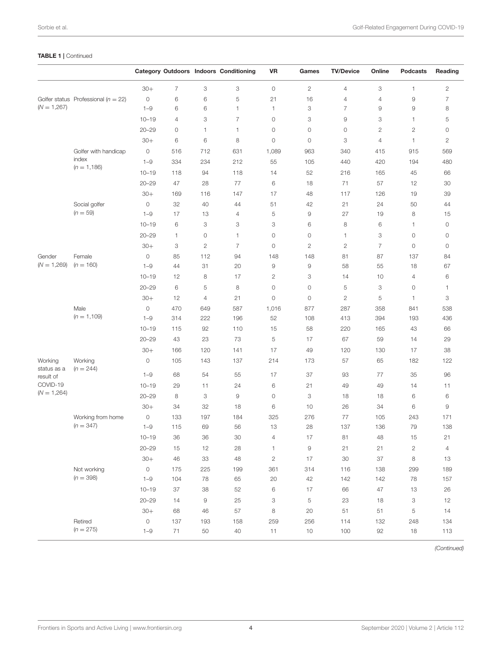### TABLE 1 | Continued

|                                                                  |                                         |                     |                |                | <b>Category Outdoors Indoors Conditioning</b> | <b>VR</b>      | Games          | <b>TV/Device</b> | Online         | <b>Podcasts</b> | Reading        |
|------------------------------------------------------------------|-----------------------------------------|---------------------|----------------|----------------|-----------------------------------------------|----------------|----------------|------------------|----------------|-----------------|----------------|
|                                                                  |                                         | $30+$               | $\overline{7}$ | 3              | 3                                             | $\circ$        | $\mathbf{2}$   | $\overline{4}$   | 3              | 1               | $\mathbf{2}$   |
| $(N = 1,267)$                                                    | Golfer status Professional ( $n = 22$ ) | $\circ$             | 6              | 6              | 5                                             | 21             | 16             | 4                | 4              | $\hbox{9}$      | 7              |
|                                                                  |                                         | $1 - 9$             | 6              | 6              | 1                                             | $\mathbf{1}$   | 3              | $\overline{7}$   | 9              | $\overline{9}$  | 8              |
|                                                                  |                                         | $10 - 19$           | 4              | 3              | 7                                             | $\circ$        | 3              | 9                | 3              | $\mathbf{1}$    | 5              |
|                                                                  |                                         | $20 - 29$           | 0              | 1              | 1                                             | 0              | $\circ$        | 0                | 2              | $\overline{c}$  | 0              |
|                                                                  |                                         | $30+$               | 6              | 6              | 8                                             | $\circ$        | $\circ$        | 3                | 4              | $\mathbf{1}$    | $\overline{c}$ |
|                                                                  | Golfer with handicap                    | $\circ$             | 516            | 712            | 631                                           | 1,089          | 963            | 340              | 415            | 915             | 569            |
|                                                                  | index                                   | $1 - 9$             | 334            | 234            | 212                                           | 55             | 105            | 440              | 420            | 194             | 480            |
|                                                                  | $(n = 1, 186)$                          | $10 - 19$           | 118            | 94             | 118                                           | 14             | 52             | 216              | 165            | 45              | 66             |
|                                                                  |                                         | $20 - 29$           | 47             | 28             | 77                                            | 6              | 18             | 71               | 57             | 12              | 30             |
|                                                                  |                                         | $30+$               | 169            | 116            | 147                                           | 17             | 48             | 117              | 126            | 19              | 39             |
|                                                                  | Social golfer                           | $\mathsf{O}\xspace$ | 32             | 40             | 44                                            | 51             | 42             | 21               | 24             | 50              | 44             |
|                                                                  | $(n = 59)$                              | $1 - 9$             | 17             | 13             | 4                                             | 5              | 9              | 27               | 19             | 8               | 15             |
|                                                                  |                                         | $10 - 19$           | 6              | 3              | 3                                             | 3              | 6              | 8                | 6              | $\mathbf{1}$    | $\circ$        |
|                                                                  |                                         | $20 - 29$           | 1              | 0              | 1                                             | 0              | $\circ$        | 1                | 3              | $\circ$         | 0              |
|                                                                  |                                         | $30+$               | 3              | $\overline{2}$ | $\overline{7}$                                | $\circ$        | $\overline{c}$ | $\mathbf{2}$     | $\overline{7}$ | $\circ$         | $\circ$        |
| Gender<br>$(N = 1,269)$                                          | Female<br>$(n = 160)$                   | $\circ$             | 85             | 112            | 94                                            | 148            | 148            | 81               | 87             | 137             | 84             |
|                                                                  |                                         | $1 - 9$             | 44             | 31             | 20                                            | $\hbox{9}$     | $\hbox{9}$     | 58               | 55             | 18              | 67             |
|                                                                  |                                         | $10 - 19$           | 12             | 8              | 17                                            | $\mathbf{2}$   | 3              | 14               | 10             | $\overline{4}$  | 6              |
|                                                                  |                                         | $20 - 29$           | 6              | 5              | 8                                             | $\circ$        | $\circ$        | 5                | 3              | $\circ$         | 1              |
|                                                                  |                                         | $30+$               | 12             | $\overline{4}$ | 21                                            | $\circ$        | $\circ$        | $\mathbf{2}$     | 5              | $\mathbf{1}$    | 3              |
|                                                                  | Male<br>$(n = 1, 109)$                  | $\circ$             | 470            | 649            | 587                                           | 1,016          | 877            | 287              | 358            | 841             | 538            |
|                                                                  |                                         | $1 - 9$             | 314            | 222            | 196                                           | 52             | 108            | 413              | 394            | 193             | 436            |
|                                                                  |                                         | $10 - 19$           | 115            | 92             | 110                                           | 15             | 58             | 220              | 165            | 43              | 66             |
|                                                                  |                                         | $20 - 29$           | 43             | 23             | 73                                            | 5              | 17             | 67               | 59             | 14              | 29             |
|                                                                  |                                         | $30+$               | 166            | 120            | 141                                           | 17             | 49             | 120              | 130            | 17              | 38             |
| Working<br>status as a<br>result of<br>COVID-19<br>$(N = 1,264)$ | Working<br>$(n = 244)$                  | $\circ$             | 105            | 143            | 137                                           | 214            | 173            | 57               | 65             | 182             | 122            |
|                                                                  |                                         | $1 - 9$             | 68             | 54             | 55                                            | 17             | 37             | 93               | 77             | 35              | 96             |
|                                                                  |                                         | $10 - 19$           | 29             | 11             | 24                                            | 6              | 21             | 49               | 49             | 14              | 11             |
|                                                                  |                                         | $20 - 29$           | 8              | 3              | 9                                             | $\circ$        | 3              | 18               | 18             | 6               | 6              |
|                                                                  |                                         | $30+$               | 34             | 32             | 18                                            | 6              | 10             | 26               | 34             | 6               | 9              |
|                                                                  | Working from home<br>$(n = 347)$        | $\mathsf{O}\xspace$ | 133            | 197            | 184                                           | 325            | 276            | 77               | 105            | 243             | 171            |
|                                                                  |                                         | $1 - 9$             | 115            | 69             | 56                                            | 13             | 28             | 137              | 136            | 79              | 138            |
|                                                                  |                                         | $10 - 19$           | 36             | 36             | 30                                            | $\overline{4}$ | 17             | 81               | 48             | 15              | 21             |
|                                                                  |                                         | $20 - 29$           | 15             | 12             | 28                                            | $\mathbf{1}$   | $\hbox{9}$     | 21               | 21             | $\sqrt{2}$      | 4              |
|                                                                  |                                         | $30+$               | 46             | 33             | 48                                            | $\mathbf{2}$   | 17             | $30\,$           | 37             | $\,$ 8 $\,$     | 13             |
|                                                                  | Not working<br>$(n = 398)$              | $\circ$             | 175            | 225            | 199                                           | 361            | 314            | 116              | 138            | 299             | 189            |
|                                                                  |                                         | $1 - 9$             | 104            | 78             | 65                                            | 20             | 42             | 142              | 142            | 78              | 157            |
|                                                                  |                                         | $10 - 19$           | 37             | 38             | 52                                            | 6              | 17             | 66               | 47             | 13              | 26             |
|                                                                  |                                         | $20 - 29$           | 14             | 9              | 25                                            | 3              | 5              | 23               | 18             | 3               | 12             |
|                                                                  |                                         | $30+$               | 68             | 46             | 57                                            | 8              | 20             | 51               | 51             | 5               | 14             |
|                                                                  | Retired                                 | $\circ$             | 137            | 193            | 158                                           | 259            | 256            | 114              | 132            | 248             | 134            |
|                                                                  | $(n = 275)$                             | $1 - 9$             | 71             | 50             | 40                                            | 11             | 10             | 100              | 92             | 18              | 113            |

*(Continued)*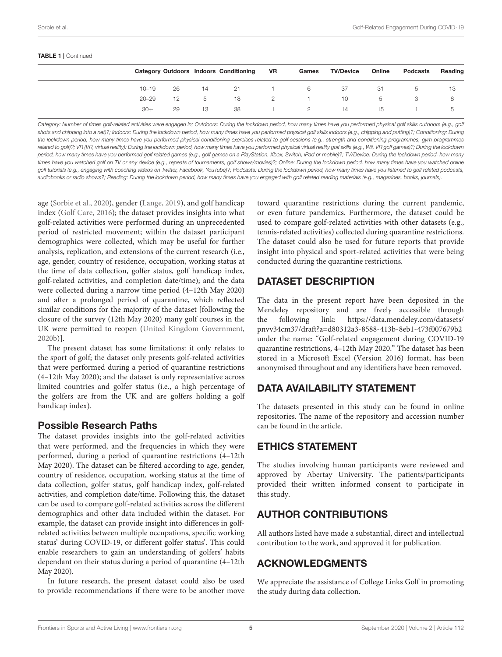#### TABLE 1 | Continued

|           |    |    | <b>Category Outdoors Indoors Conditioning</b> | VR | Games | <b>TV/Device</b> | Online | Podcasts | Reading |
|-----------|----|----|-----------------------------------------------|----|-------|------------------|--------|----------|---------|
| $10 - 19$ | 26 | 14 | -21                                           |    | 6     | 37               | -31    | b.       | 13      |
| $20 - 29$ | 12 | 5  | 18                                            | 2  |       | 10               | b.     |          |         |
| $30+$     | 29 | 13 | 38                                            |    | 2     | 14               | 15     |          |         |
|           |    |    |                                               |    |       |                  |        |          |         |

Category: Number of times golf-related activities were engaged in; Outdoors: During the lockdown period, how many times have you performed physical golf skills outdoors (e.g., golf *shots and chipping into a net)?; Indoors: During the lockdown period, how many times have you performed physical golf skills indoors (e.g., chipping and putting)?; Conditioning: During the lockdown period, how many times have you performed physical conditioning exercises related to golf sessions (e.g., strength and conditioning programmes, gym programmes related to golf)?; VR (VR, virtual reality): During the lockdown period, how many times have you performed physical virtual reality golf skills (e.g., Wii, VR golf games)?; During the lockdown period, how many times have you performed golf related games (e.g., golf games on a PlayStation, Xbox, Switch, iPad or mobile)?; TV/Device: During the lockdown period, how many times have you watched golf on TV or any device (e.g., repeats of tournaments, golf shows/movies)?; Online: During the lockdown period, how many times have you watched online golf tutorials (e.g., engaging with coaching videos on Twitter, Facebook, YouTube)?; Podcasts: During the lockdown period, how many times have you listened to golf related podcasts, audiobooks or radio shows?; Reading: During the lockdown period, how many times have you engaged with golf related reading materials (e.g., magazines, books, journals).*

age [\(Sorbie et al., 2020\)](#page-5-20), gender [\(Lange, 2019\)](#page-5-22), and golf handicap index [\(Golf Care, 2016\)](#page-5-23); the dataset provides insights into what golf-related activities were performed during an unprecedented period of restricted movement; within the dataset participant demographics were collected, which may be useful for further analysis, replication, and extensions of the current research (i.e., age, gender, country of residence, occupation, working status at the time of data collection, golfer status, golf handicap index, golf-related activities, and completion date/time); and the data were collected during a narrow time period (4–12th May 2020) and after a prolonged period of quarantine, which reflected similar conditions for the majority of the dataset [following the closure of the survey (12th May 2020) many golf courses in the UK were permitted to reopen [\(United Kingdom Government,](#page-5-21) [2020b\)](#page-5-21)].

The present dataset has some limitations: it only relates to the sport of golf; the dataset only presents golf-related activities that were performed during a period of quarantine restrictions (4–12th May 2020); and the dataset is only representative across limited countries and golfer status (i.e., a high percentage of the golfers are from the UK and are golfers holding a golf handicap index).

### Possible Research Paths

The dataset provides insights into the golf-related activities that were performed, and the frequencies in which they were performed, during a period of quarantine restrictions (4–12th May 2020). The dataset can be filtered according to age, gender, country of residence, occupation, working status at the time of data collection, golfer status, golf handicap index, golf-related activities, and completion date/time. Following this, the dataset can be used to compare golf-related activities across the different demographics and other data included within the dataset. For example, the dataset can provide insight into differences in golfrelated activities between multiple occupations, specific working status' during COVID-19, or different golfer status'. This could enable researchers to gain an understanding of golfers' habits dependant on their status during a period of quarantine (4–12th May 2020).

In future research, the present dataset could also be used to provide recommendations if there were to be another move toward quarantine restrictions during the current pandemic, or even future pandemics. Furthermore, the dataset could be used to compare golf-related activities with other datasets (e.g., tennis-related activities) collected during quarantine restrictions. The dataset could also be used for future reports that provide insight into physical and sport-related activities that were being conducted during the quarantine restrictions.

### DATASET DESCRIPTION

The data in the present report have been deposited in the Mendeley repository and are freely accessible through the following link: [https://data.mendeley.com/datasets/](https://data.mendeley.com/datasets/pnvv34cm37/draft?a=d80312a3-8588-413b-8eb1-473f007679b2) [pnvv34cm37/draft?a=d80312a3-8588-413b-8eb1-473f007679b2](https://data.mendeley.com/datasets/pnvv34cm37/draft?a=d80312a3-8588-413b-8eb1-473f007679b2) under the name: "Golf-related engagement during COVID-19 quarantine restrictions, 4–12th May 2020." The dataset has been stored in a Microsoft Excel (Version 2016) format, has been anonymised throughout and any identifiers have been removed.

# DATA AVAILABILITY STATEMENT

The datasets presented in this study can be found in online repositories. The name of the repository and accession number can be found in the article.

### ETHICS STATEMENT

The studies involving human participants were reviewed and approved by Abertay University. The patients/participants provided their written informed consent to participate in this study.

# AUTHOR CONTRIBUTIONS

All authors listed have made a substantial, direct and intellectual contribution to the work, and approved it for publication.

# ACKNOWLEDGMENTS

We appreciate the assistance of College Links Golf in promoting the study during data collection.